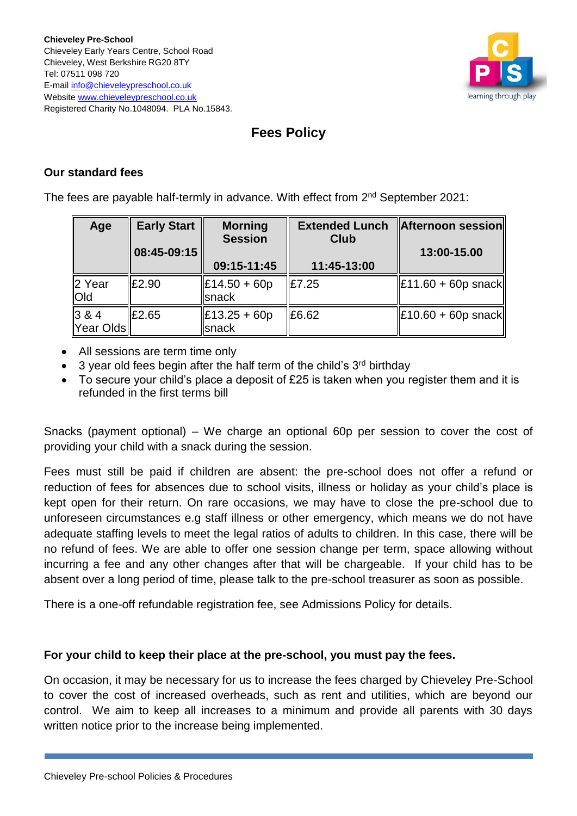

# **Fees Policy**

## **Our standard fees**

The fees are payable half-termly in advance. With effect from 2<sup>nd</sup> September 2021:

| Age                            | <b>Early Start</b><br>08:45-09:15 | <b>Morning</b><br><b>Session</b>                      | <b>Extended Lunch</b><br>Club | Afternoon session<br>13:00-15.00   |
|--------------------------------|-----------------------------------|-------------------------------------------------------|-------------------------------|------------------------------------|
|                                |                                   | 09:15-11:45                                           | 11:45-13:00                   |                                    |
| 2 Year<br><b>Old</b>           | £2.90                             | $\ \text{\pounds}14.50 + 60p\ $<br><b>I</b> snack     | £7.25                         | $\vert$ £11.60 + 60p snack $\vert$ |
| $\parallel$ 3 & 4<br>Year Olds | £2.65                             | $\left  \text{£}13.25 + 60 \text{p} \right $<br>snack | £6.62                         | $\vert$ £10.60 + 60p snack $\vert$ |

- All sessions are term time only
- 3 year old fees begin after the half term of the child's  $3<sup>rd</sup>$  birthday
- To secure your child's place a deposit of £25 is taken when you register them and it is refunded in the first terms bill

Snacks (payment optional) – We charge an optional 60p per session to cover the cost of providing your child with a snack during the session.

Fees must still be paid if children are absent: the pre-school does not offer a refund or reduction of fees for absences due to school visits, illness or holiday as your child's place is kept open for their return. On rare occasions, we may have to close the pre-school due to unforeseen circumstances e.g staff illness or other emergency, which means we do not have adequate staffing levels to meet the legal ratios of adults to children. In this case, there will be no refund of fees. We are able to offer one session change per term, space allowing without incurring a fee and any other changes after that will be chargeable. If your child has to be absent over a long period of time, please talk to the pre-school treasurer as soon as possible.

There is a one-off refundable registration fee, see Admissions Policy for details.

## **For your child to keep their place at the pre-school, you must pay the fees.**

On occasion, it may be necessary for us to increase the fees charged by Chieveley Pre-School to cover the cost of increased overheads, such as rent and utilities, which are beyond our control. We aim to keep all increases to a minimum and provide all parents with 30 days written notice prior to the increase being implemented.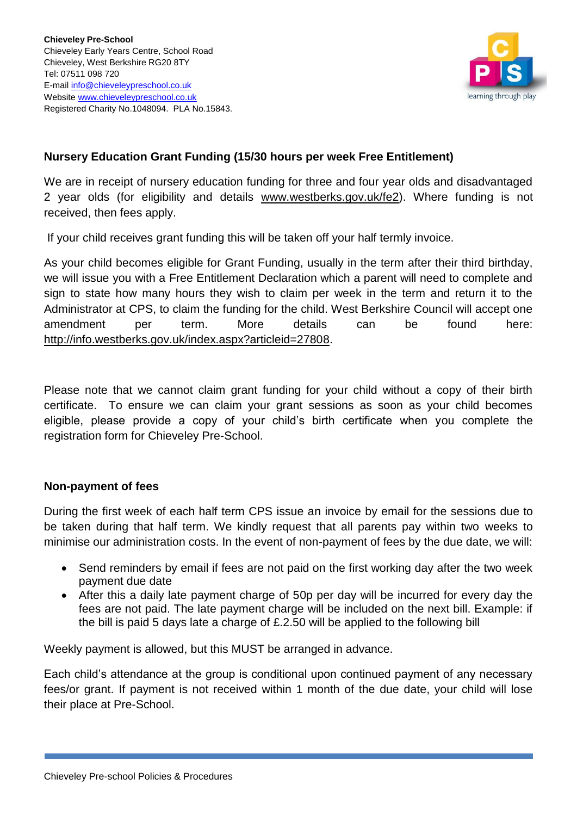

## **Nursery Education Grant Funding (15/30 hours per week Free Entitlement)**

We are in receipt of nursery education funding for three and four year olds and disadvantaged 2 year olds (for eligibility and details [www.westberks.gov.uk/fe2\)](http://www.westberks.gov.uk/fe2). Where funding is not received, then fees apply.

If your child receives grant funding this will be taken off your half termly invoice.

As your child becomes eligible for Grant Funding, usually in the term after their third birthday, we will issue you with a Free Entitlement Declaration which a parent will need to complete and sign to state how many hours they wish to claim per week in the term and return it to the Administrator at CPS, to claim the funding for the child. West Berkshire Council will accept one amendment per term. More details can be found here: [http://info.westberks.gov.uk/index.aspx?articleid=27808.](http://info.westberks.gov.uk/index.aspx?articleid=27808)

Please note that we cannot claim grant funding for your child without a copy of their birth certificate. To ensure we can claim your grant sessions as soon as your child becomes eligible, please provide a copy of your child's birth certificate when you complete the registration form for Chieveley Pre-School.

## **Non-payment of fees**

During the first week of each half term CPS issue an invoice by email for the sessions due to be taken during that half term. We kindly request that all parents pay within two weeks to minimise our administration costs. In the event of non-payment of fees by the due date, we will:

- Send reminders by email if fees are not paid on the first working day after the two week payment due date
- After this a daily late payment charge of 50p per day will be incurred for every day the fees are not paid. The late payment charge will be included on the next bill. Example: if the bill is paid 5 days late a charge of  $£.2.50$  will be applied to the following bill

Weekly payment is allowed, but this MUST be arranged in advance.

Each child's attendance at the group is conditional upon continued payment of any necessary fees/or grant. If payment is not received within 1 month of the due date, your child will lose their place at Pre-School.